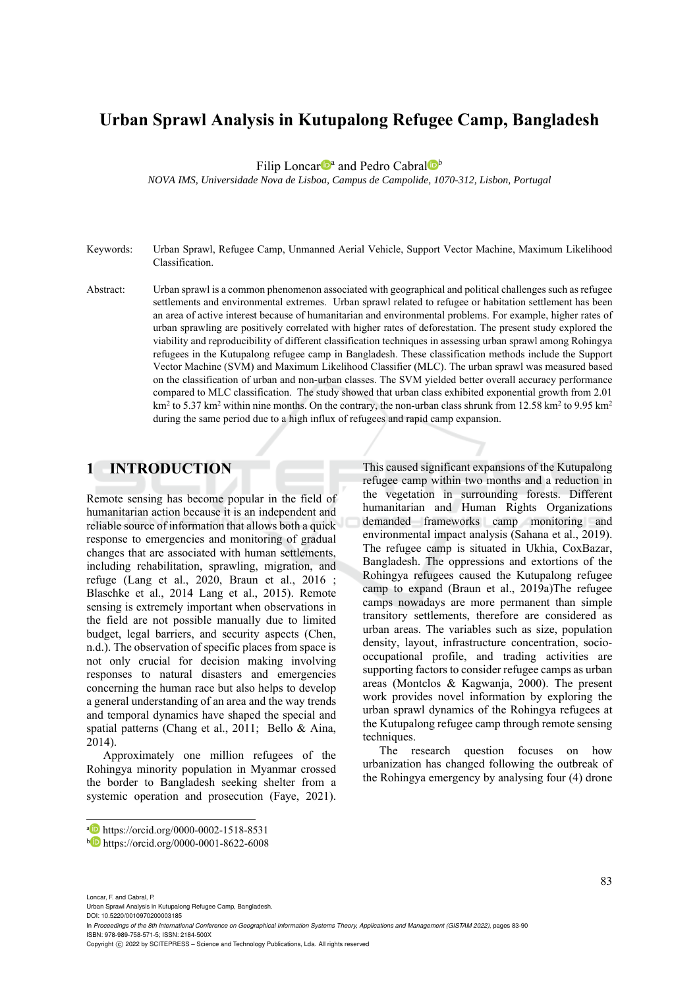# **Urban Sprawl Analysis in Kutupalong Refugee Camp, Bangladesh**

Filip Loncar<sup>D</sup><sup>a</sup> and Pedro Cabral<sup>D</sup><sup>b</sup>

*NOVA IMS, Universidade Nova de Lisboa, Campus de Campolide, 1070-312, Lisbon, Portugal* 

- Keywords: Urban Sprawl, Refugee Camp, Unmanned Aerial Vehicle, Support Vector Machine, Maximum Likelihood Classification.
- Abstract: Urban sprawl is a common phenomenon associated with geographical and political challenges such as refugee settlements and environmental extremes. Urban sprawl related to refugee or habitation settlement has been an area of active interest because of humanitarian and environmental problems. For example, higher rates of urban sprawling are positively correlated with higher rates of deforestation. The present study explored the viability and reproducibility of different classification techniques in assessing urban sprawl among Rohingya refugees in the Kutupalong refugee camp in Bangladesh. These classification methods include the Support Vector Machine (SVM) and Maximum Likelihood Classifier (MLC). The urban sprawl was measured based on the classification of urban and non-urban classes. The SVM yielded better overall accuracy performance compared to MLC classification. The study showed that urban class exhibited exponential growth from 2.01  $km^2$  to 5.37 km<sup>2</sup> within nine months. On the contrary, the non-urban class shrunk from 12.58 km<sup>2</sup> to 9.95 km<sup>2</sup> during the same period due to a high influx of refugees and rapid camp expansion.

### **1 INTRODUCTION**

Remote sensing has become popular in the field of humanitarian action because it is an independent and reliable source of information that allows both a quick response to emergencies and monitoring of gradual changes that are associated with human settlements, including rehabilitation, sprawling, migration, and refuge (Lang et al., 2020, Braun et al., 2016 ; Blaschke et al., 2014 Lang et al., 2015). Remote sensing is extremely important when observations in the field are not possible manually due to limited budget, legal barriers, and security aspects (Chen, n.d.). The observation of specific places from space is not only crucial for decision making involving responses to natural disasters and emergencies concerning the human race but also helps to develop a general understanding of an area and the way trends and temporal dynamics have shaped the special and spatial patterns (Chang et al., 2011; Bello & Aina, 2014).

Approximately one million refugees of the Rohingya minority population in Myanmar crossed the border to Bangladesh seeking shelter from a systemic operation and prosecution (Faye, 2021).

This caused significant expansions of the Kutupalong refugee camp within two months and a reduction in the vegetation in surrounding forests. Different humanitarian and Human Rights Organizations demanded frameworks camp monitoring and environmental impact analysis (Sahana et al., 2019). The refugee camp is situated in Ukhia, CoxBazar, Bangladesh. The oppressions and extortions of the Rohingya refugees caused the Kutupalong refugee camp to expand (Braun et al., 2019a)The refugee camps nowadays are more permanent than simple transitory settlements, therefore are considered as urban areas. The variables such as size, population density, layout, infrastructure concentration, sociooccupational profile, and trading activities are supporting factors to consider refugee camps as urban areas (Montclos & Kagwanja, 2000). The present work provides novel information by exploring the urban sprawl dynamics of the Rohingya refugees at the Kutupalong refugee camp through remote sensing techniques.

The research question focuses on how urbanization has changed following the outbreak of the Rohingya emergency by analysing four (4) drone

Loncar, F. and Cabral, P.

Urban Sprawl Analysis in Kutupalong Refugee Camp, Bangladesh.

DOI: 10.5220/0010970200003185 In *Proceedings of the 8th International Conference on Geographical Information Systems Theory, Applications and Management (GISTAM 2022)*, pages 83-90

ISBN: 978-989-758-571-5; ISSN: 2184-500X

a https://orcid.org/0000-0002-1518-8531<br>b https://orcid.org/0000-0001-8622-6008

Copyright (C) 2022 by SCITEPRESS - Science and Technology Publications, Lda. All rights reserved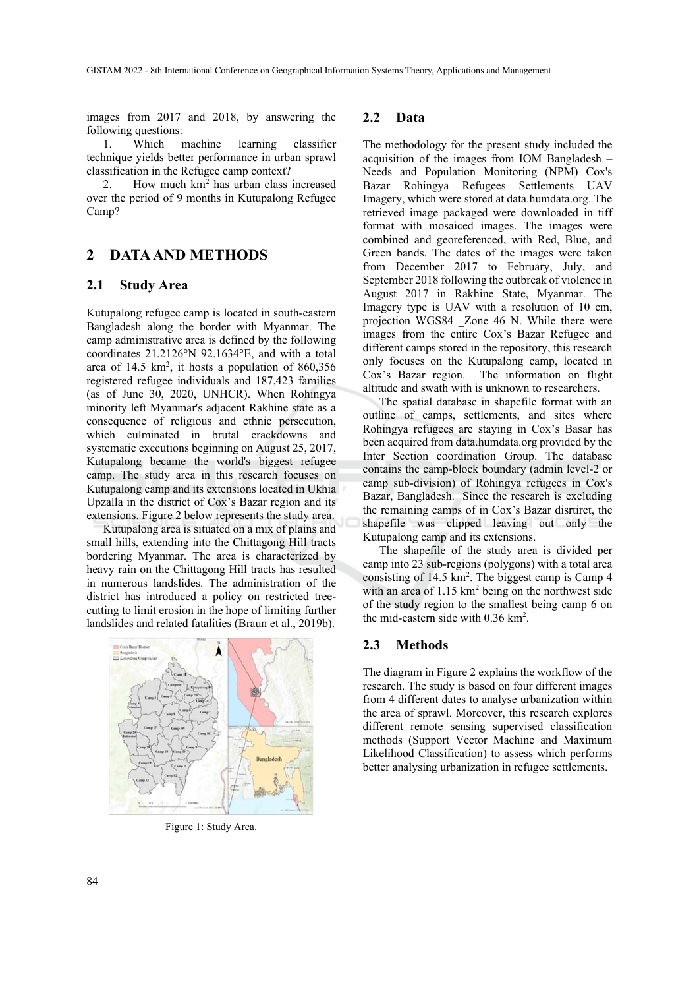images from 2017 and 2018, by answering the following questions:

1. Which machine learning classifier technique yields better performance in urban sprawl classification in the Refugee camp context?

2. How much  $km<sup>2</sup>$  has urban class increased over the period of 9 months in Kutupalong Refugee Camp?

# **2 DATA AND METHODS**

### **2.1 Study Area**

Kutupalong refugee camp is located in south-eastern Bangladesh along the border with Myanmar. The camp administrative area is defined by the following coordinates 21.2126°N 92.1634°E, and with a total area of  $14.5 \text{ km}^2$ , it hosts a population of  $860,356$ registered refugee individuals and 187,423 families (as of June 30, 2020, UNHCR). When Rohingya minority left Myanmar's adjacent Rakhine state as a consequence of religious and ethnic persecution, which culminated in brutal crackdowns and systematic executions beginning on August 25, 2017, Kutupalong became the world's biggest refugee camp. The study area in this research focuses on Kutupalong camp and its extensions located in Ukhia Upzalla in the district of Cox's Bazar region and its extensions. Figure 2 below represents the study area.

Kutupalong area is situated on a mix of plains and small hills, extending into the Chittagong Hill tracts bordering Myanmar. The area is characterized by heavy rain on the Chittagong Hill tracts has resulted in numerous landslides. The administration of the district has introduced a policy on restricted treecutting to limit erosion in the hope of limiting further landslides and related fatalities (Braun et al., 2019b).



Figure 1: Study Area.

#### **2.2 Data**

The methodology for the present study included the acquisition of the images from IOM Bangladesh – Needs and Population Monitoring (NPM) Cox's Bazar Rohingya Refugees Settlements UAV Imagery, which were stored at data.humdata.org. The retrieved image packaged were downloaded in tiff format with mosaiced images. The images were combined and georeferenced, with Red, Blue, and Green bands. The dates of the images were taken from December 2017 to February, July, and September 2018 following the outbreak of violence in August 2017 in Rakhine State, Myanmar. The Imagery type is UAV with a resolution of 10 cm, projection WGS84 \_Zone 46 N. While there were images from the entire Cox's Bazar Refugee and different camps stored in the repository, this research only focuses on the Kutupalong camp, located in Cox's Bazar region. The information on flight altitude and swath with is unknown to researchers.

The spatial database in shapefile format with an outline of camps, settlements, and sites where Rohingya refugees are staying in Cox's Basar has been acquired from data.humdata.org provided by the Inter Section coordination Group. The database contains the camp-block boundary (admin level-2 or camp sub-division) of Rohingya refugees in Cox's Bazar, Bangladesh. Since the research is excluding the remaining camps of in Cox's Bazar disrtirct, the shapefile was clipped leaving out only the Kutupalong camp and its extensions.

The shapefile of the study area is divided per camp into 23 sub-regions (polygons) with a total area consisting of 14.5 km<sup>2</sup>. The biggest camp is Camp 4 with an area of  $1.15 \text{ km}^2$  being on the northwest side of the study region to the smallest being camp 6 on the mid-eastern side with 0.36 km2 .

### **2.3 Methods**

The diagram in Figure 2 explains the workflow of the research. The study is based on four different images from 4 different dates to analyse urbanization within the area of sprawl. Moreover, this research explores different remote sensing supervised classification methods (Support Vector Machine and Maximum Likelihood Classification) to assess which performs better analysing urbanization in refugee settlements.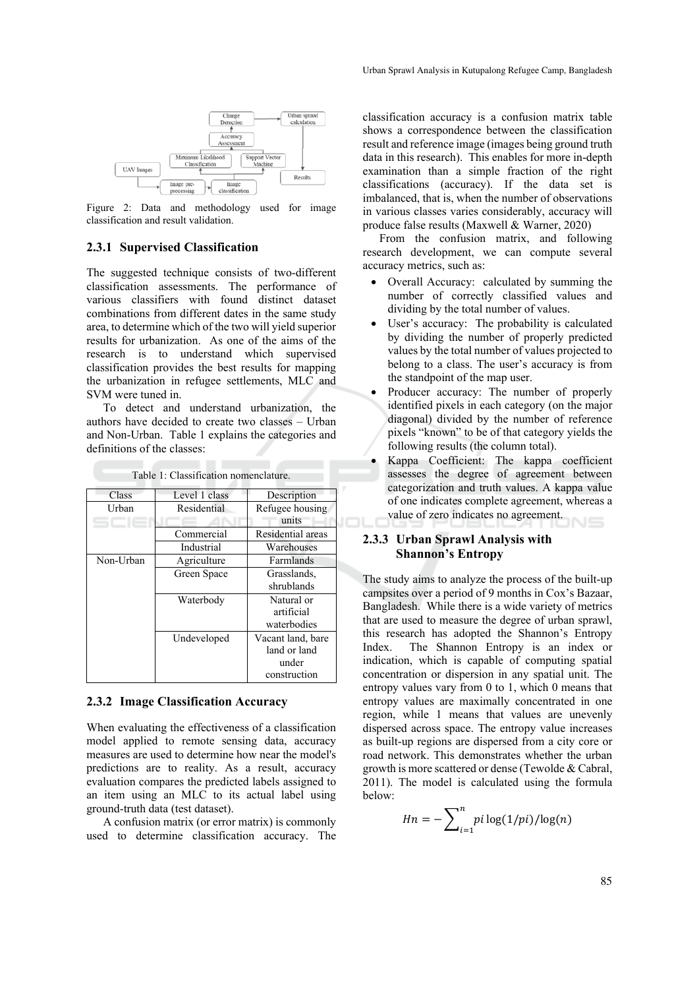

Figure 2: Data and methodology used for image classification and result validation.

#### **2.3.1 Supervised Classification**

The suggested technique consists of two-different classification assessments. The performance of various classifiers with found distinct dataset combinations from different dates in the same study area, to determine which of the two will yield superior results for urbanization. As one of the aims of the research is to understand which supervised classification provides the best results for mapping the urbanization in refugee settlements, MLC and SVM were tuned in.

To detect and understand urbanization, the authors have decided to create two classes – Urban and Non-Urban. Table 1 explains the categories and definitions of the classes:

| Class     | Level 1 class | Description       |
|-----------|---------------|-------------------|
| Urban     | Residential   | Refugee housing   |
|           |               | units             |
|           | Commercial    | Residential areas |
|           | Industrial    | Warehouses        |
| Non-Urban | Agriculture   | Farmlands         |
|           | Green Space   | Grasslands,       |
|           |               | shrublands        |
|           | Waterbody     | Natural or        |
|           |               | artificial        |
|           |               | waterbodies       |
|           | Undeveloped   | Vacant land, bare |
|           |               | land or land      |
|           |               | under             |
|           |               | construction      |

Table 1: Classification nomenclature.

### **2.3.2 Image Classification Accuracy**

When evaluating the effectiveness of a classification model applied to remote sensing data, accuracy measures are used to determine how near the model's predictions are to reality. As a result, accuracy evaluation compares the predicted labels assigned to an item using an MLC to its actual label using ground-truth data (test dataset).

A confusion matrix (or error matrix) is commonly used to determine classification accuracy. The

classification accuracy is a confusion matrix table shows a correspondence between the classification result and reference image (images being ground truth data in this research). This enables for more in-depth examination than a simple fraction of the right classifications (accuracy). If the data set is imbalanced, that is, when the number of observations in various classes varies considerably, accuracy will produce false results (Maxwell & Warner, 2020)

From the confusion matrix, and following research development, we can compute several accuracy metrics, such as:

- Overall Accuracy: calculated by summing the number of correctly classified values and dividing by the total number of values.
- User's accuracy: The probability is calculated by dividing the number of properly predicted values by the total number of values projected to belong to a class. The user's accuracy is from the standpoint of the map user.
- Producer accuracy: The number of properly identified pixels in each category (on the major diagonal) divided by the number of reference pixels "known" to be of that category yields the following results (the column total).
- Kappa Coefficient: The kappa coefficient assesses the degree of agreement between categorization and truth values. A kappa value of one indicates complete agreement, whereas a value of zero indicates no agreement.

### **2.3.3 Urban Sprawl Analysis with Shannon's Entropy**

The study aims to analyze the process of the built-up campsites over a period of 9 months in Cox's Bazaar, Bangladesh. While there is a wide variety of metrics that are used to measure the degree of urban sprawl, this research has adopted the Shannon's Entropy Index. The Shannon Entropy is an index or indication, which is capable of computing spatial concentration or dispersion in any spatial unit. The entropy values vary from 0 to 1, which 0 means that entropy values are maximally concentrated in one region, while 1 means that values are unevenly dispersed across space. The entropy value increases as built-up regions are dispersed from a city core or road network. This demonstrates whether the urban growth is more scattered or dense (Tewolde & Cabral, 2011). The model is calculated using the formula below:

$$
Hn = -\sum_{i=1}^{n} pi \log(1/pi)/\log(n)
$$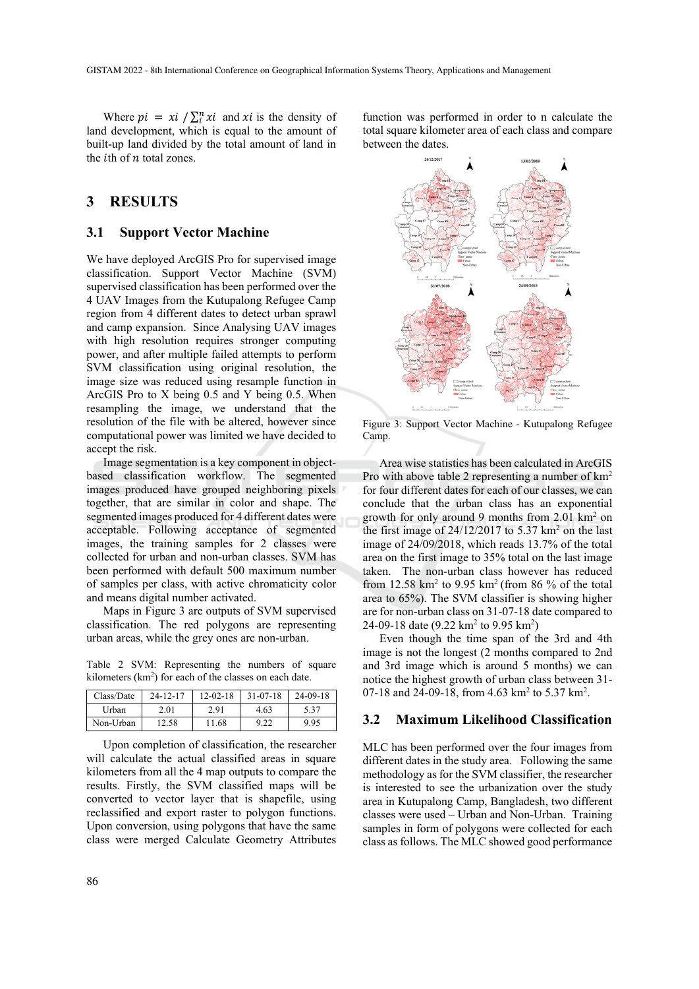Where  $pi = xi / \sum_i^n xi$  and xi is the density of land development, which is equal to the amount of built-up land divided by the total amount of land in the *i*th of  $n$  total zones.

# **3 RESULTS**

#### **3.1 Support Vector Machine**

We have deployed ArcGIS Pro for supervised image classification. Support Vector Machine (SVM) supervised classification has been performed over the 4 UAV Images from the Kutupalong Refugee Camp region from 4 different dates to detect urban sprawl and camp expansion. Since Analysing UAV images with high resolution requires stronger computing power, and after multiple failed attempts to perform SVM classification using original resolution, the image size was reduced using resample function in ArcGIS Pro to X being 0.5 and Y being 0.5. When resampling the image, we understand that the resolution of the file with be altered, however since computational power was limited we have decided to accept the risk.

Image segmentation is a key component in objectbased classification workflow. The segmented images produced have grouped neighboring pixels together, that are similar in color and shape. The segmented images produced for 4 different dates were acceptable. Following acceptance of segmented images, the training samples for 2 classes were collected for urban and non-urban classes. SVM has been performed with default 500 maximum number of samples per class, with active chromaticity color and means digital number activated.

Maps in Figure 3 are outputs of SVM supervised classification. The red polygons are representing urban areas, while the grey ones are non-urban.

Table 2 SVM: Representing the numbers of square kilometers  $(km<sup>2</sup>)$  for each of the classes on each date.

| Class/Date | $24 - 12 - 17$ | $12 - 02 - 18$ | $31 - 07 - 18$ | $24 - 09 - 18$ |
|------------|----------------|----------------|----------------|----------------|
| Urban      | 2.01           | 2.91           | 4.63           | 5.37           |
| Non-Urban  | 12.58          | 11.68          | 9.22           | 9.95           |

Upon completion of classification, the researcher will calculate the actual classified areas in square kilometers from all the 4 map outputs to compare the results. Firstly, the SVM classified maps will be converted to vector layer that is shapefile, using reclassified and export raster to polygon functions. Upon conversion, using polygons that have the same class were merged Calculate Geometry Attributes

function was performed in order to n calculate the total square kilometer area of each class and compare between the dates.



Figure 3: Support Vector Machine - Kutupalong Refugee Camp.

Area wise statistics has been calculated in ArcGIS Pro with above table 2 representing a number of km2 for four different dates for each of our classes, we can conclude that the urban class has an exponential growth for only around 9 months from 2.01 km2 on the first image of  $24/12/2017$  to 5.37 km<sup>2</sup> on the last image of 24/09/2018, which reads 13.7% of the total area on the first image to 35% total on the last image taken. The non-urban class however has reduced from  $12.58 \text{ km}^2$  to  $9.95 \text{ km}^2$  (from 86 % of the total area to 65%). The SVM classifier is showing higher are for non-urban class on 31-07-18 date compared to 24-09-18 date  $(9.22 \text{ km}^2 \text{ to } 9.95 \text{ km}^2)$ 

Even though the time span of the 3rd and 4th image is not the longest (2 months compared to 2nd and 3rd image which is around 5 months) we can notice the highest growth of urban class between 31- 07-18 and 24-09-18, from 4.63 km<sup>2</sup> to 5.37 km<sup>2</sup>.

### **3.2 Maximum Likelihood Classification**

MLC has been performed over the four images from different dates in the study area. Following the same methodology as for the SVM classifier, the researcher is interested to see the urbanization over the study area in Kutupalong Camp, Bangladesh, two different classes were used – Urban and Non-Urban. Training samples in form of polygons were collected for each class as follows. The MLC showed good performance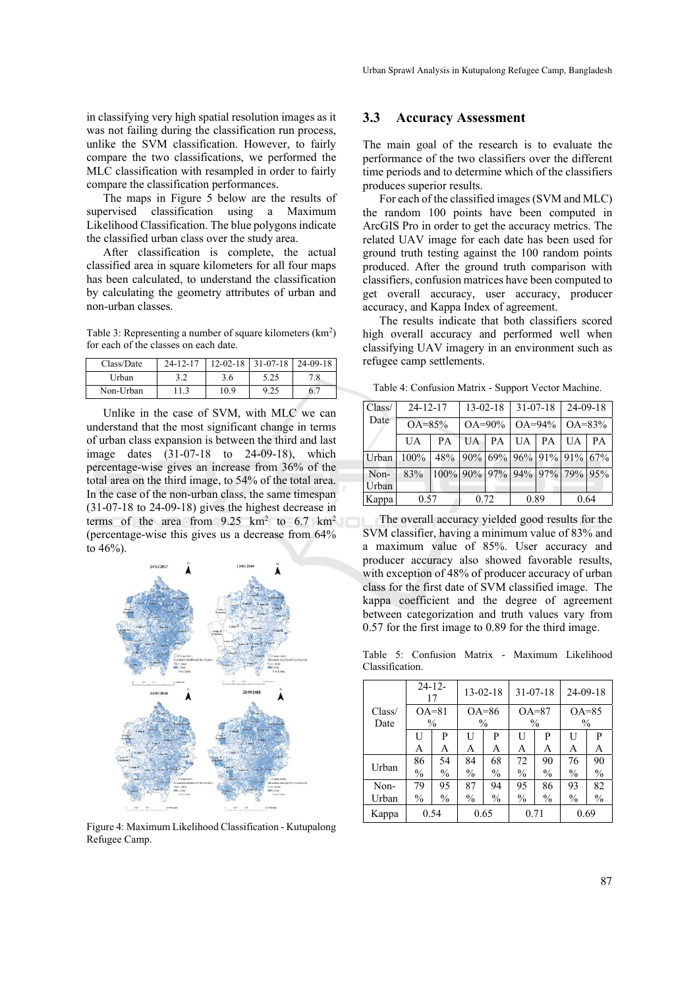in classifying very high spatial resolution images as it was not failing during the classification run process, unlike the SVM classification. However, to fairly compare the two classifications, we performed the MLC classification with resampled in order to fairly compare the classification performances.

The maps in Figure 5 below are the results of supervised classification using a Maximum Likelihood Classification. The blue polygons indicate the classified urban class over the study area.

After classification is complete, the actual classified area in square kilometers for all four maps has been calculated, to understand the classification by calculating the geometry attributes of urban and non-urban classes.

Table 3: Representing a number of square kilometers (km<sup>2</sup>) for each of the classes on each date.

| Class/Date | $24 - 12 - 17$ |      | $12 - 02 - 18$ 31 - 07 - 18 | $24 - 09 - 18$ |
|------------|----------------|------|-----------------------------|----------------|
| Urban.     |                | 3.6  | 5.25                        | 7.8            |
| Non-Urban  |                | 10.9 | 9.25                        | 6.             |

Unlike in the case of SVM, with MLC we can understand that the most significant change in terms of urban class expansion is between the third and last image dates (31-07-18 to 24-09-18), which percentage-wise gives an increase from 36% of the total area on the third image, to 54% of the total area. In the case of the non-urban class, the same timespan (31-07-18 to 24-09-18) gives the highest decrease in terms of the area from  $9.25 \text{ km}^2$  to 6.7 km<sup>2</sup> (percentage-wise this gives us a decrease from 64% to 46%).



Figure 4: Maximum Likelihood Classification - Kutupalong Refugee Camp.

### **3.3 Accuracy Assessment**

The main goal of the research is to evaluate the performance of the two classifiers over the different time periods and to determine which of the classifiers produces superior results.

For each of the classified images (SVM and MLC) the random 100 points have been computed in ArcGIS Pro in order to get the accuracy metrics. The related UAV image for each date has been used for ground truth testing against the 100 random points produced. After the ground truth comparison with classifiers, confusion matrices have been computed to get overall accuracy, user accuracy, producer accuracy, and Kappa Index of agreement.

The results indicate that both classifiers scored high overall accuracy and performed well when classifying UAV imagery in an environment such as refugee camp settlements.

Table 4: Confusion Matrix - Support Vector Machine.

| Class/        | $24 - 12 - 17$ |                                    | $13 - 02 - 18$ |           | $31 - 07 - 18$ |             | $24-09-18$ |             |  |
|---------------|----------------|------------------------------------|----------------|-----------|----------------|-------------|------------|-------------|--|
| Date          |                | $OA = 85\%$                        |                | $OA=90\%$ |                | $OA = 94\%$ |            | $OA = 83\%$ |  |
|               | UA             | PА                                 | UA             | PA        | UA             | PA          | UA.        | PA          |  |
| Urban         | 100%           | 48\% 90\% 69\% 96\% 91\% 91\% 67\% |                |           |                |             |            |             |  |
| Non-<br>Urban | 83%            | 100% 90% 97% 94% 97% 79% 95%       |                |           |                |             |            |             |  |
| Kappa         | 0.57           |                                    | 0.72           |           | 0.89           |             | 0.64       |             |  |

The overall accuracy yielded good results for the SVM classifier, having a minimum value of 83% and a maximum value of 85%. User accuracy and producer accuracy also showed favorable results, with exception of 48% of producer accuracy of urban class for the first date of SVM classified image. The kappa coefficient and the degree of agreement between categorization and truth values vary from 0.57 for the first image to 0.89 for the third image.

Table 5: Confusion Matrix - Maximum Likelihood Classification.

|        | $24 - 12$<br>17 |               | $13 - 02 - 18$ |               | $31 - 07 - 18$ |               | $24 - 09 - 18$ |               |
|--------|-----------------|---------------|----------------|---------------|----------------|---------------|----------------|---------------|
| Class/ | $OA=81$         |               | $OA=86$        |               | $OA=87$        |               | $OA=85$        |               |
| Date   | $\frac{0}{0}$   |               | $\frac{0}{0}$  |               | $\frac{0}{0}$  |               | $\frac{0}{0}$  |               |
|        | U               | P             | U              | P             | U              | P             | ΙI             | P             |
|        | А               | A             | A              | A             | A              | A             | A              | A             |
| Urban  | 86              | 54            | 84             | 68            | 72             | 90            | 76             | 90            |
|        | $\frac{0}{0}$   | $\frac{0}{0}$ | $\frac{0}{0}$  | $\frac{0}{0}$ | $\frac{0}{0}$  | $\frac{0}{0}$ | $\frac{0}{0}$  | $\frac{0}{0}$ |
| Non-   | 79              | 95            | 87             | 94            | 95             | 86            | 93             | 82            |
| Urban  | $\frac{0}{0}$   | $\frac{0}{0}$ | $\frac{0}{0}$  | $\frac{0}{0}$ | $\frac{0}{0}$  | $\frac{0}{0}$ | $\frac{0}{0}$  | $\frac{0}{0}$ |
| Kappa  | 0.54            |               |                | 0.65          | 0.71           |               |                | 0.69          |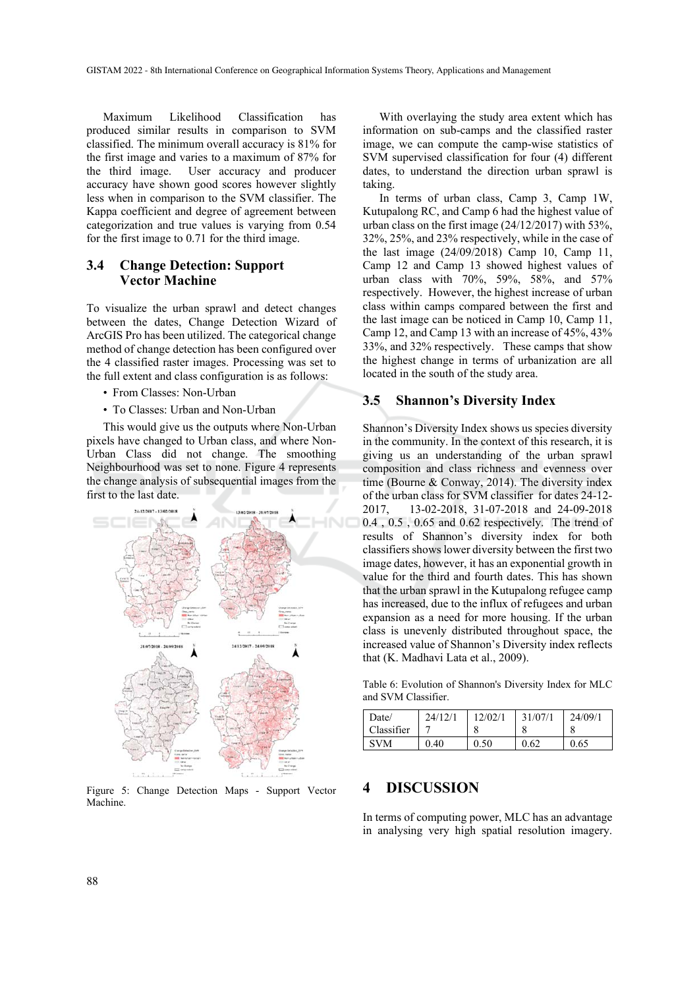Maximum Likelihood Classification has produced similar results in comparison to SVM classified. The minimum overall accuracy is 81% for the first image and varies to a maximum of 87% for the third image. User accuracy and producer accuracy have shown good scores however slightly less when in comparison to the SVM classifier. The Kappa coefficient and degree of agreement between categorization and true values is varying from 0.54 for the first image to 0.71 for the third image.

### **3.4 Change Detection: Support Vector Machine**

To visualize the urban sprawl and detect changes between the dates, Change Detection Wizard of ArcGIS Pro has been utilized. The categorical change method of change detection has been configured over the 4 classified raster images. Processing was set to the full extent and class configuration is as follows:

- From Classes: Non-Urban
- To Classes: Urban and Non-Urban

This would give us the outputs where Non-Urban pixels have changed to Urban class, and where Non-Urban Class did not change. The smoothing Neighbourhood was set to none. Figure 4 represents the change analysis of subsequential images from the first to the last date.



Figure 5: Change Detection Maps - Support Vector Machine.

With overlaying the study area extent which has information on sub-camps and the classified raster image, we can compute the camp-wise statistics of SVM supervised classification for four (4) different dates, to understand the direction urban sprawl is taking.

In terms of urban class, Camp 3, Camp 1W, Kutupalong RC, and Camp 6 had the highest value of urban class on the first image (24/12/2017) with 53%, 32%, 25%, and 23% respectively, while in the case of the last image (24/09/2018) Camp 10, Camp 11, Camp 12 and Camp 13 showed highest values of urban class with 70%, 59%, 58%, and 57% respectively. However, the highest increase of urban class within camps compared between the first and the last image can be noticed in Camp 10, Camp 11, Camp 12, and Camp 13 with an increase of 45%, 43% 33%, and 32% respectively. These camps that show the highest change in terms of urbanization are all located in the south of the study area.

### **3.5 Shannon's Diversity Index**

Shannon's Diversity Index shows us species diversity in the community. In the context of this research, it is giving us an understanding of the urban sprawl composition and class richness and evenness over time (Bourne & Conway, 2014). The diversity index of the urban class for SVM classifier for dates 24-12- 2017, 13-02-2018, 31-07-2018 and 24-09-2018 0.4 , 0.5 , 0.65 and 0.62 respectively. The trend of results of Shannon's diversity index for both classifiers shows lower diversity between the first two image dates, however, it has an exponential growth in value for the third and fourth dates. This has shown that the urban sprawl in the Kutupalong refugee camp has increased, due to the influx of refugees and urban expansion as a need for more housing. If the urban class is unevenly distributed throughout space, the increased value of Shannon's Diversity index reflects that (K. Madhavi Lata et al., 2009).

Table 6: Evolution of Shannon's Diversity Index for MLC and SVM Classifier.

| Date/      | 24/12/1 | 12/02/1 | 31/07/1 | 24/09/1 |
|------------|---------|---------|---------|---------|
| Classifier |         |         |         |         |
| <b>SVM</b> | 0.40    | 0.50    | 0.62    | 0.65    |

### **4 DISCUSSION**

In terms of computing power, MLC has an advantage in analysing very high spatial resolution imagery.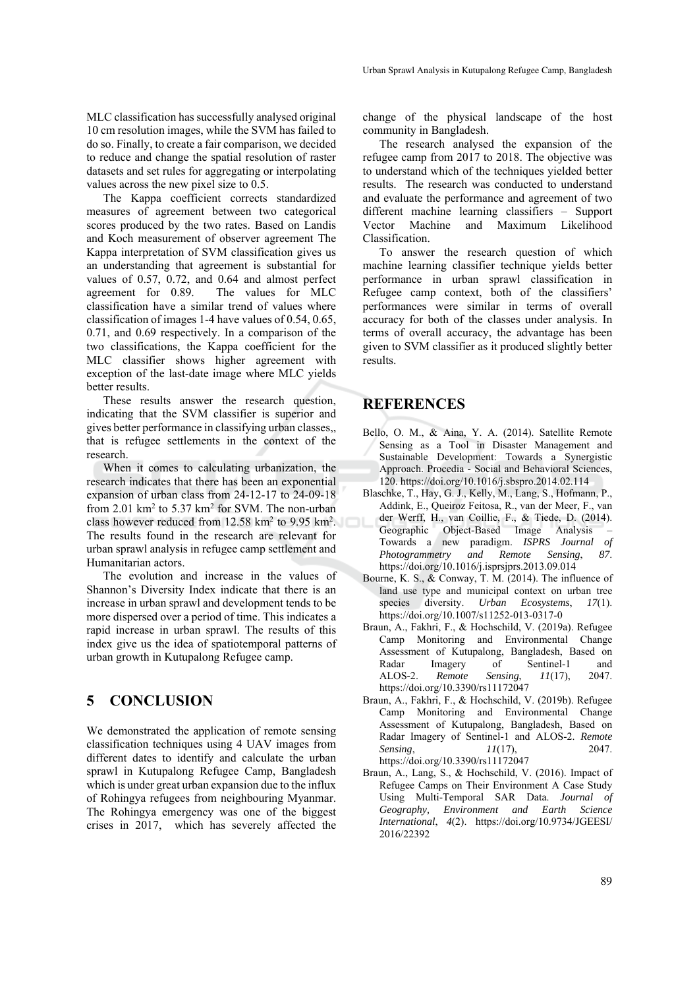MLC classification has successfully analysed original 10 cm resolution images, while the SVM has failed to do so. Finally, to create a fair comparison, we decided to reduce and change the spatial resolution of raster datasets and set rules for aggregating or interpolating values across the new pixel size to 0.5.

The Kappa coefficient corrects standardized measures of agreement between two categorical scores produced by the two rates. Based on Landis and Koch measurement of observer agreement The Kappa interpretation of SVM classification gives us an understanding that agreement is substantial for values of 0.57, 0.72, and 0.64 and almost perfect agreement for 0.89. The values for MLC classification have a similar trend of values where classification of images 1-4 have values of 0.54, 0.65, 0.71, and 0.69 respectively. In a comparison of the two classifications, the Kappa coefficient for the MLC classifier shows higher agreement with exception of the last-date image where MLC yields better results.

These results answer the research question, indicating that the SVM classifier is superior and gives better performance in classifying urban classes,, that is refugee settlements in the context of the research.

When it comes to calculating urbanization, the research indicates that there has been an exponential expansion of urban class from 24-12-17 to 24-09-18 from  $2.01 \text{ km}^2$  to  $5.37 \text{ km}^2$  for SVM. The non-urban class however reduced from  $12.58 \text{ km}^2$  to  $9.95 \text{ km}^2$ . The results found in the research are relevant for urban sprawl analysis in refugee camp settlement and Humanitarian actors.

The evolution and increase in the values of Shannon's Diversity Index indicate that there is an increase in urban sprawl and development tends to be more dispersed over a period of time. This indicates a rapid increase in urban sprawl. The results of this index give us the idea of spatiotemporal patterns of urban growth in Kutupalong Refugee camp.

# **5 CONCLUSION**

We demonstrated the application of remote sensing classification techniques using 4 UAV images from different dates to identify and calculate the urban sprawl in Kutupalong Refugee Camp, Bangladesh which is under great urban expansion due to the influx of Rohingya refugees from neighbouring Myanmar. The Rohingya emergency was one of the biggest crises in 2017, which has severely affected the

change of the physical landscape of the host community in Bangladesh.

The research analysed the expansion of the refugee camp from 2017 to 2018. The objective was to understand which of the techniques yielded better results. The research was conducted to understand and evaluate the performance and agreement of two different machine learning classifiers – Support Vector Machine and Maximum Likelihood Classification.

To answer the research question of which machine learning classifier technique yields better performance in urban sprawl classification in Refugee camp context, both of the classifiers' performances were similar in terms of overall accuracy for both of the classes under analysis. In terms of overall accuracy, the advantage has been given to SVM classifier as it produced slightly better results.

### **REFERENCES**

- Bello, O. M., & Aina, Y. A. (2014). Satellite Remote Sensing as a Tool in Disaster Management and Sustainable Development: Towards a Synergistic Approach. Procedia - Social and Behavioral Sciences, 120. https://doi.org/10.1016/j.sbspro.2014.02.114
- Blaschke, T., Hay, G. J., Kelly, M., Lang, S., Hofmann, P., Addink, E., Queiroz Feitosa, R., van der Meer, F., van der Werff, H., van Coillie, F., & Tiede, D. (2014). Geographic Object-Based Image Analysis – Towards a new paradigm. *ISPRS Journal of Photogrammetry and Remote Sensing*, *87*. https://doi.org/10.1016/j.isprsjprs.2013.09.014
- Bourne, K. S., & Conway, T. M. (2014). The influence of land use type and municipal context on urban tree species diversity. *Urban Ecosystems*, *17*(1). https://doi.org/10.1007/s11252-013-0317-0
- Braun, A., Fakhri, F., & Hochschild, V. (2019a). Refugee Camp Monitoring and Environmental Change Assessment of Kutupalong, Bangladesh, Based on Radar Imagery of Sentinel-1 and ALOS-2. *Remote Sensing*, *11*(17), 2047. https://doi.org/10.3390/rs11172047
- Braun, A., Fakhri, F., & Hochschild, V. (2019b). Refugee Camp Monitoring and Environmental Change Assessment of Kutupalong, Bangladesh, Based on Radar Imagery of Sentinel-1 and ALOS-2. *Remote Sensing*, *11*(17), 2047. https://doi.org/10.3390/rs11172047
- Braun, A., Lang, S., & Hochschild, V. (2016). Impact of Refugee Camps on Their Environment A Case Study Using Multi-Temporal SAR Data. *Journal of Geography, Environment and Earth Science International*, *4*(2). https://doi.org/10.9734/JGEESI/ 2016/22392